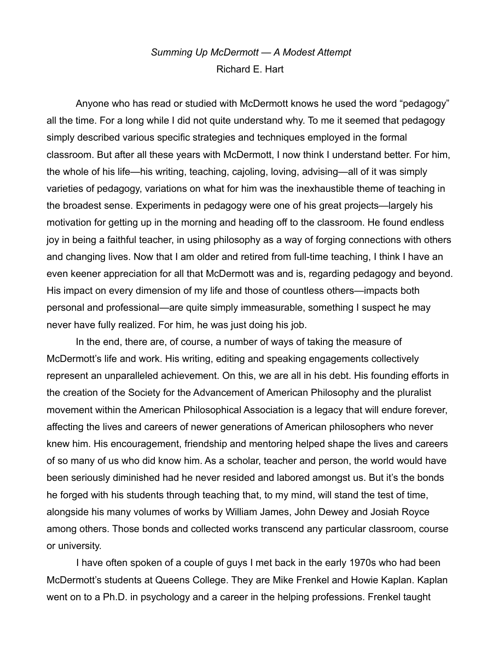## *Summing Up McDermott — A Modest Attempt* Richard E. Hart

Anyone who has read or studied with McDermott knows he used the word "pedagogy" all the time. For a long while I did not quite understand why. To me it seemed that pedagogy simply described various specific strategies and techniques employed in the formal classroom. But after all these years with McDermott, I now think I understand better. For him, the whole of his life—his writing, teaching, cajoling, loving, advising—all of it was simply varieties of pedagogy, variations on what for him was the inexhaustible theme of teaching in the broadest sense. Experiments in pedagogy were one of his great projects—largely his motivation for getting up in the morning and heading off to the classroom. He found endless joy in being a faithful teacher, in using philosophy as a way of forging connections with others and changing lives. Now that I am older and retired from full-time teaching, I think I have an even keener appreciation for all that McDermott was and is, regarding pedagogy and beyond. His impact on every dimension of my life and those of countless others—impacts both personal and professional—are quite simply immeasurable, something I suspect he may never have fully realized. For him, he was just doing his job.

In the end, there are, of course, a number of ways of taking the measure of McDermott's life and work. His writing, editing and speaking engagements collectively represent an unparalleled achievement. On this, we are all in his debt. His founding efforts in the creation of the Society for the Advancement of American Philosophy and the pluralist movement within the American Philosophical Association is a legacy that will endure forever, affecting the lives and careers of newer generations of American philosophers who never knew him. His encouragement, friendship and mentoring helped shape the lives and careers of so many of us who did know him. As a scholar, teacher and person, the world would have been seriously diminished had he never resided and labored amongst us. But it's the bonds he forged with his students through teaching that, to my mind, will stand the test of time, alongside his many volumes of works by William James, John Dewey and Josiah Royce among others. Those bonds and collected works transcend any particular classroom, course or university.

I have often spoken of a couple of guys I met back in the early 1970s who had been McDermott's students at Queens College. They are Mike Frenkel and Howie Kaplan. Kaplan went on to a Ph.D. in psychology and a career in the helping professions. Frenkel taught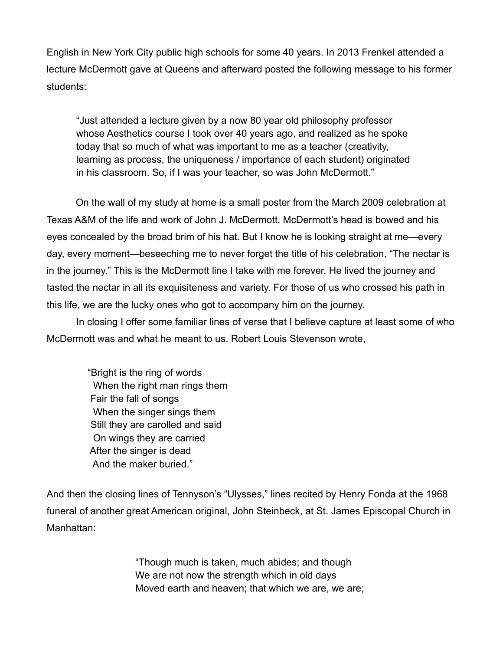English in New York City public high schools for some 40 years. In 2013 Frenkel attended a lecture McDermott gave at Queens and afterward posted the following message to his former students:

"Just attended a lecture given by a now 80 year old philosophy professor whose Aesthetics course I took over 40 years ago, and realized as he spoke today that so much of what was important to me as a teacher (creativity, learning as process, the uniqueness / importance of each student) originated in his classroom. So, if I was your teacher, so was John McDermott."

On the wall of my study at home is a small poster from the March 2009 celebration at Texas A&M of the life and work of John J. McDermott. McDermott's head is bowed and his eyes concealed by the broad brim of his hat. But I know he is looking straight at me—every day, every moment—beseeching me to never forget the title of his celebration, "The nectar is in the journey." This is the McDermott line I take with me forever. He lived the journey and tasted the nectar in all its exquisiteness and variety. For those of us who crossed his path in this life, we are the lucky ones who got to accompany him on the journey.

In closing I offer some familiar lines of verse that I believe capture at least some of who McDermott was and what he meant to us. Robert Louis Stevenson wrote,

 "Bright is the ring of words When the right man rings them Fair the fall of songs When the singer sings them Still they are carolled and said On wings they are carried After the singer is dead And the maker buried."

And then the closing lines of Tennyson's "Ulysses," lines recited by Henry Fonda at the 1968 funeral of another great American original, John Steinbeck, at St. James Episcopal Church in Manhattan:

> "Though much is taken, much abides; and though We are not now the strength which in old days Moved earth and heaven; that which we are, we are;